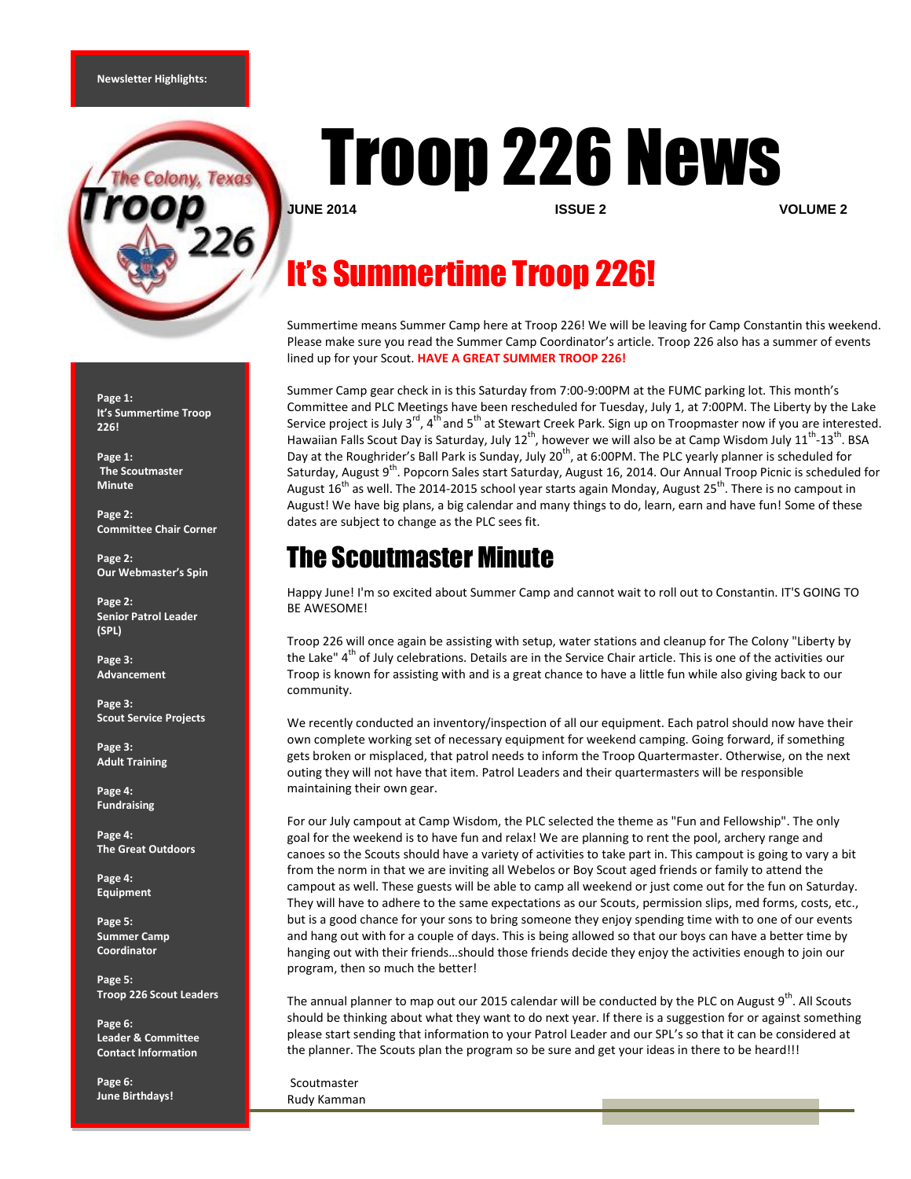

**Page 1: It's Summertime Troop 226!**

**Page 1: The Scoutmaster Minute**

**Page 2: Committee Chair Corner**

**Page 2: Our Webmaster's Spin**

**Page 2: Senior Patrol Leader (SPL)**

**Page 3: Advancement**

**Page 3: Scout Service Projects**

**Page 3: Adult Training**

**Page 4: Fundraising**

**Page 4: The Great Outdoors**

**Page 4: Equipment**

**Page 5: Summer Camp Coordinator**

**Page 5: Troop 226 Scout Leaders**

**Page 6: Leader & Committee Contact Information**

**Page 6: June Birthdays!**

# Troop 226 News

**JUNE 2014 ISSUE 2 VOLUME 2**

# It's Summertime Troop 226!

Summertime means Summer Camp here at Troop 226! We will be leaving for Camp Constantin this weekend. Please make sure you read the Summer Camp Coordinator's article. Troop 226 also has a summer of events lined up for your Scout. **HAVE A GREAT SUMMER TROOP 226!**

Summer Camp gear check in is this Saturday from 7:00-9:00PM at the FUMC parking lot. This month's Committee and PLC Meetings have been rescheduled for Tuesday, July 1, at 7:00PM. The Liberty by the Lake Service project is July 3<sup>rd</sup>, 4<sup>th</sup> and 5<sup>th</sup> at Stewart Creek Park. Sign up on Troopmaster now if you are interested. Hawaiian Falls Scout Day is Saturday, July 12<sup>th</sup>, however we will also be at Camp Wisdom July 11<sup>th</sup>-13<sup>th</sup>. BSA Day at the Roughrider's Ball Park is Sunday, July 20<sup>th</sup>, at 6:00PM. The PLC yearly planner is scheduled for Saturday, August 9<sup>th</sup>. Popcorn Sales start Saturday, August 16, 2014. Our Annual Troop Picnic is scheduled for August 16<sup>th</sup> as well. The 2014-2015 school year starts again Monday, August 25<sup>th</sup>. There is no campout in August! We have big plans, a big calendar and many things to do, learn, earn and have fun! Some of these dates are subject to change as the PLC sees fit.

# The Scoutmaster Minute

Happy June! I'm so excited about Summer Camp and cannot wait to roll out to Constantin. IT'S GOING TO BE AWESOME!

Troop 226 will once again be assisting with setup, water stations and cleanup for The Colony "Liberty by the Lake" 4<sup>th</sup> of July celebrations. Details are in the Service Chair article. This is one of the activities our Troop is known for assisting with and is a great chance to have a little fun while also giving back to our community.

We recently conducted an inventory/inspection of all our equipment. Each patrol should now have their own complete working set of necessary equipment for weekend camping. Going forward, if something gets broken or misplaced, that patrol needs to inform the Troop Quartermaster. Otherwise, on the next outing they will not have that item. Patrol Leaders and their quartermasters will be responsible maintaining their own gear.

For our July campout at Camp Wisdom, the PLC selected the theme as "Fun and Fellowship". The only goal for the weekend is to have fun and relax! We are planning to rent the pool, archery range and canoes so the Scouts should have a variety of activities to take part in. This campout is going to vary a bit from the norm in that we are inviting all Webelos or Boy Scout aged friends or family to attend the campout as well. These guests will be able to camp all weekend or just come out for the fun on Saturday. They will have to adhere to the same expectations as our Scouts, permission slips, med forms, costs, etc., but is a good chance for your sons to bring someone they enjoy spending time with to one of our events and hang out with for a couple of days. This is being allowed so that our boys can have a better time by hanging out with their friends…should those friends decide they enjoy the activities enough to join our program, then so much the better!

The annual planner to map out our 2015 calendar will be conducted by the PLC on August 9<sup>th</sup>. All Scouts should be thinking about what they want to do next year. If there is a suggestion for or against something please start sending that information to your Patrol Leader and our SPL's so that it can be considered at the planner. The Scouts plan the program so be sure and get your ideas in there to be heard!!!

Scoutmaster Rudy Kamman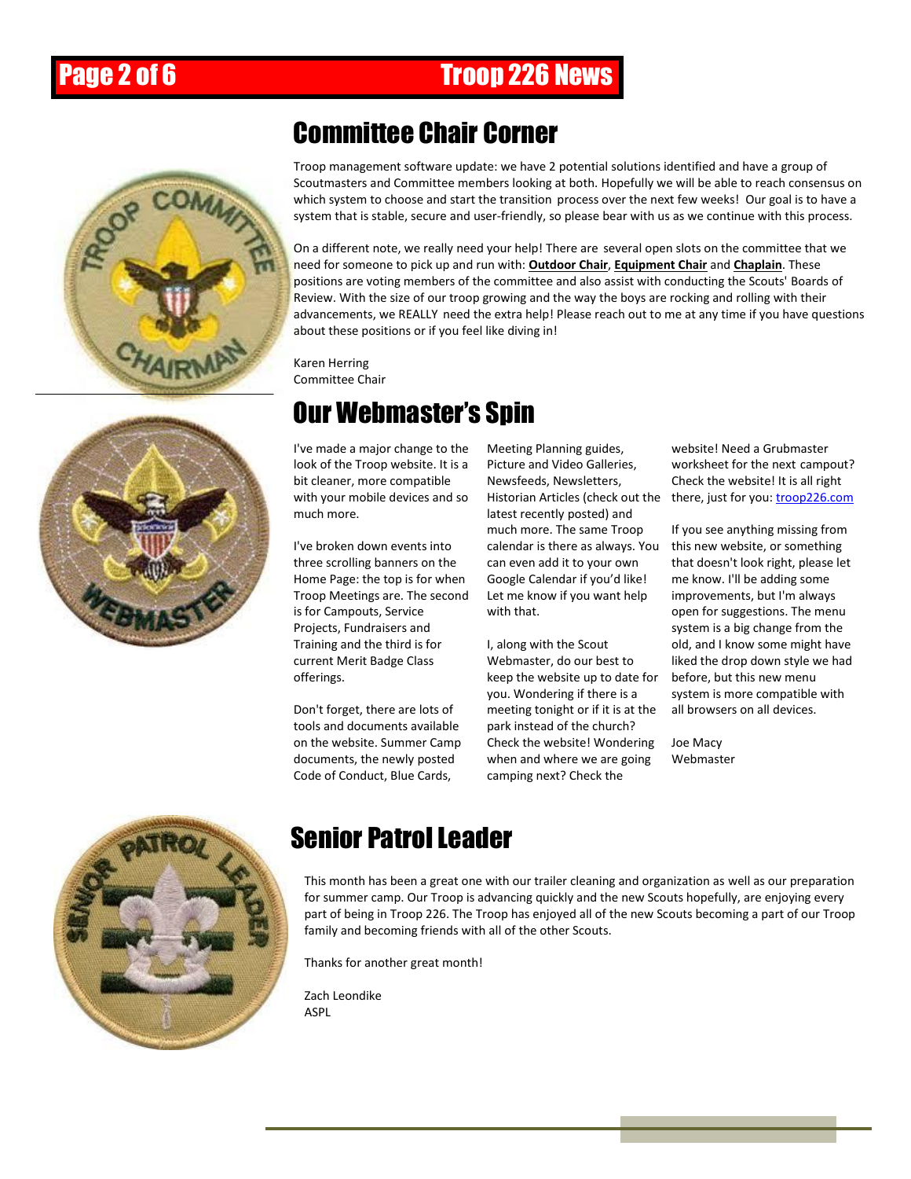# Page 2 of 6 Troop 226 News



#### Committee Chair Corner

Troop management software update: we have 2 potential solutions identified and have a group of Scoutmasters and Committee members looking at both. Hopefully we will be able to reach consensus on which system to choose and start the transition process over the next few weeks! Our goal is to have a system that is stable, secure and user-friendly, so please bear with us as we continue with this process.

On a different note, we really need your help! There are several open slots on the committee that we need for someone to pick up and run with: **Outdoor Chair**, **Equipment Chair** and **Chaplain**. These positions are voting members of the committee and also assist with conducting the Scouts' Boards of Review. With the size of our troop growing and the way the boys are rocking and rolling with their advancements, we REALLY need the extra help! Please reach out to me at any time if you have questions about these positions or if you feel like diving in!

Karen Herring Committee Chair

# Our Webmaster's Spin

I've made a major change to the look of the Troop website. It is a bit cleaner, more compatible with your mobile devices and so much more.

I've broken down events into three scrolling banners on the Home Page: the top is for when Troop Meetings are. The second is for Campouts, Service Projects, Fundraisers and Training and the third is for current Merit Badge Class offerings.

Don't forget, there are lots of tools and documents available on the website. Summer Camp documents, the newly posted Code of Conduct, Blue Cards,

Meeting Planning guides, Picture and Video Galleries, Newsfeeds, Newsletters, latest recently posted) and much more. The same Troop calendar is there as always. You can even add it to your own Google Calendar if you'd like! Let me know if you want help with that.

I, along with the Scout Webmaster, do our best to keep the website up to date for you. Wondering if there is a meeting tonight or if it is at the park instead of the church? Check the website! Wondering when and where we are going camping next? Check the

Historian Articles (check out the there, just for you: *[troop226.com](http://troop226.com/)* website! Need a Grubmaster worksheet for the next campout? Check the website! It is all right

> If you see anything missing from this new website, or something that doesn't look right, please let me know. I'll be adding some improvements, but I'm always open for suggestions. The menu system is a big change from the old, and I know some might have liked the drop down style we had before, but this new menu system is more compatible with all browsers on all devices.

Joe Macy Webmaster



# Senior Patrol Leader

This month has been a great one with our trailer cleaning and organization as well as our preparation for summer camp. Our Troop is advancing quickly and the new Scouts hopefully, are enjoying every part of being in Troop 226. The Troop has enjoyed all of the new Scouts becoming a part of our Troop family and becoming friends with all of the other Scouts.

Thanks for another great month!

Zach Leondike ASPL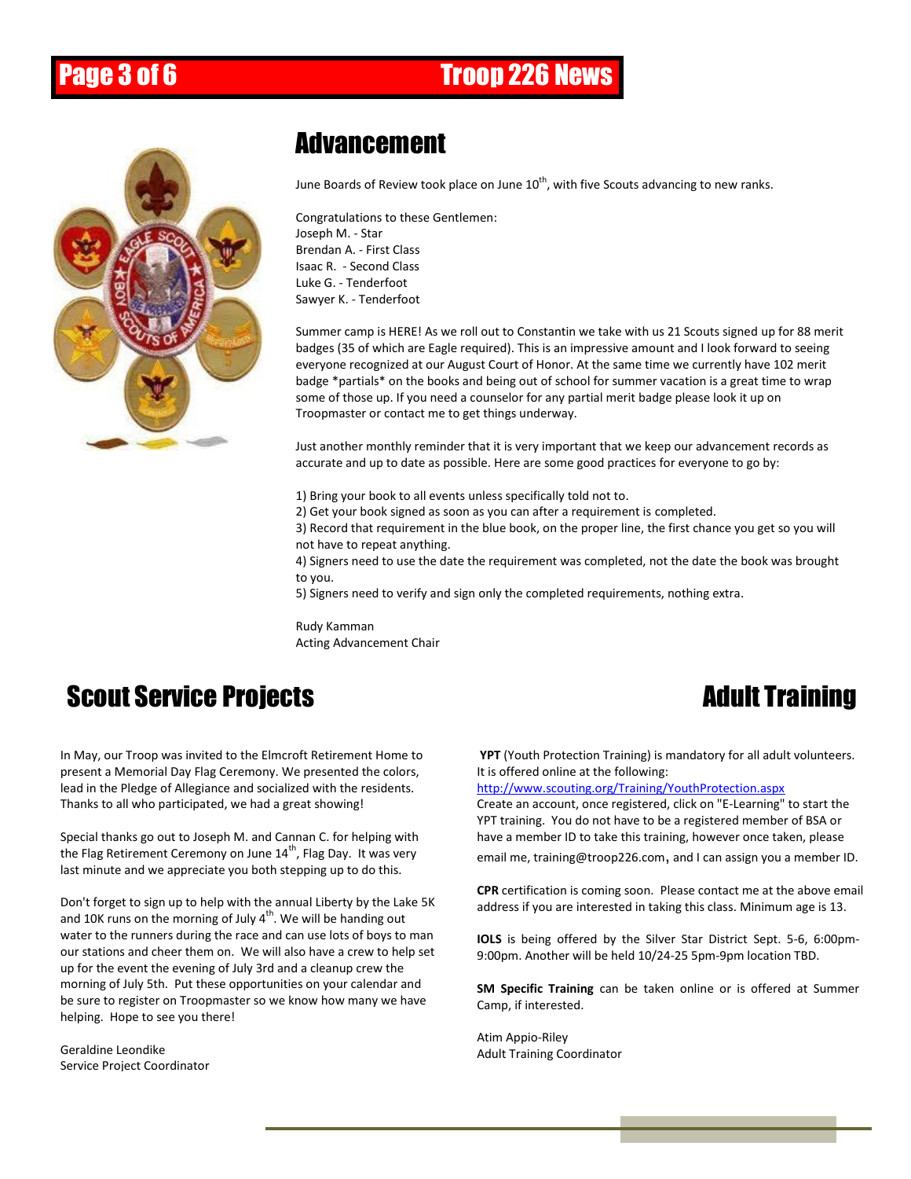### Page 3 of 6 **Troop 226 News**



### **Advancement**

June Boards of Review took place on June  $10^{\text{th}}$ , with five Scouts advancing to new ranks.

Congratulations to these Gentlemen: Joseph M. - Star Brendan A. - First Class Isaac R. - Second Class Luke G. - Tenderfoot Sawyer K. - Tenderfoot

Summer camp is HERE! As we roll out to Constantin we take with us 21 Scouts signed up for 88 merit badges (35 of which are Eagle required). This is an impressive amount and I look forward to seeing everyone recognized at our August Court of Honor. At the same time we currently have 102 merit badge \*partials\* on the books and being out of school for summer vacation is a great time to wrap some of those up. If you need a counselor for any partial merit badge please look it up on Troopmaster or contact me to get things underway.

Just another monthly reminder that it is very important that we keep our advancement records as accurate and up to date as possible. Here are some good practices for everyone to go by:

1) Bring your book to all events unless specifically told not to.

2) Get your book signed as soon as you can after a requirement is completed.

3) Record that requirement in the blue book, on the proper line, the first chance you get so you will not have to repeat anything.

4) Signers need to use the date the requirement was completed, not the date the book was brought to you.

5) Signers need to verify and sign only the completed requirements, nothing extra.

Rudy Kamman Acting Advancement Chair

### Scout Service Projects **Adult Training**

In May, our Troop was invited to the Elmcroft Retirement Home to present a Memorial Day Flag Ceremony. We presented the colors, lead in the Pledge of Allegiance and socialized with the residents. Thanks to all who participated, we had a great showing!

Special thanks go out to Joseph M. and Cannan C. for helping with the Flag Retirement Ceremony on June  $14^{th}$ , Flag Day. It was very last minute and we appreciate you both stepping up to do this.

Don't forget to sign up to help with the annual Liberty by the Lake 5K and 10K runs on the morning of July  $4^{\text{th}}$ . We will be handing out water to the runners during the race and can use lots of boys to man our stations and cheer them on. We will also have a crew to help set up for the event the evening of July 3rd and a cleanup crew the morning of July 5th. Put these opportunities on your calendar and be sure to register on Troopmaster so we know how many we have helping. Hope to see you there!

Geraldine Leondike Service Project Coordinator

**YPT** (Youth Protection Training) is mandatory for all adult volunteers. It is offered online at the following:

<http://www.scouting.org/Training/YouthProtection.aspx>

Create an account, once registered, click on "E-Learning" to start the YPT training. You do not have to be a registered member of BSA or have a member ID to take this training, however once taken, please email me, training@troop226.com, and I can assign you a member ID.

**CPR** certification is coming soon. Please contact me at the above email address if you are interested in taking this class. Minimum age is 13.

**IOLS** is being offered by the Silver Star District Sept. 5-6, 6:00pm-9:00pm. Another will be held 10/24-25 5pm-9pm location TBD.

**SM Specific Training** can be taken online or is offered at Summer Camp, if interested.

Atim Appio-Riley Adult Training Coordinator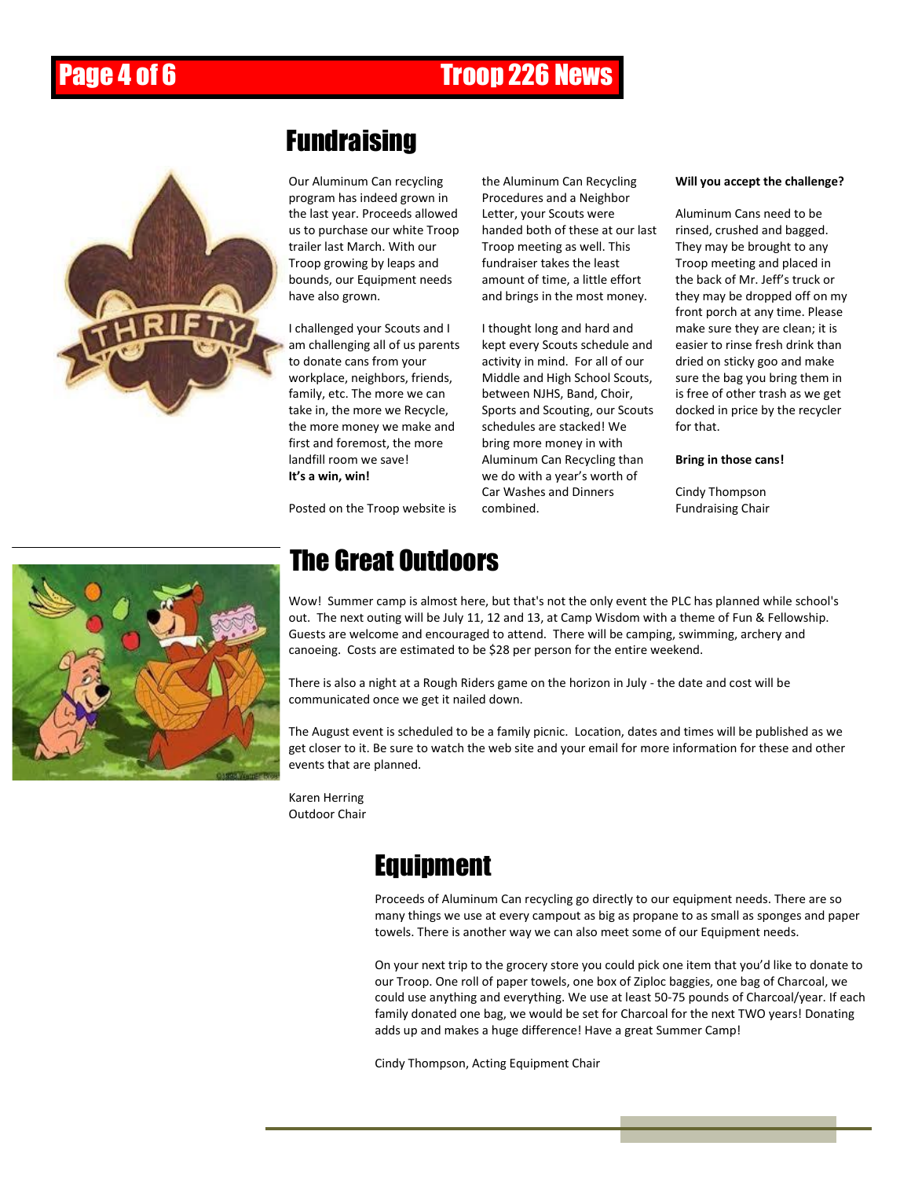# Page 4 of 6 **Troop 226 News**



### Fundraising

Our Aluminum Can recycling program has indeed grown in the last year. Proceeds allowed us to purchase our white Troop trailer last March. With our Troop growing by leaps and bounds, our Equipment needs have also grown.

I challenged your Scouts and I am challenging all of us parents to donate cans from your workplace, neighbors, friends, family, etc. The more we can take in, the more we Recycle, the more money we make and first and foremost, the more landfill room we save! **It's a win, win!**

Posted on the Troop website is

the Aluminum Can Recycling Procedures and a Neighbor Letter, your Scouts were handed both of these at our last Troop meeting as well. This fundraiser takes the least amount of time, a little effort and brings in the most money.

I thought long and hard and kept every Scouts schedule and activity in mind. For all of our Middle and High School Scouts, between NJHS, Band, Choir, Sports and Scouting, our Scouts schedules are stacked! We bring more money in with Aluminum Can Recycling than we do with a year's worth of Car Washes and Dinners combined.

#### **Will you accept the challenge?**

Aluminum Cans need to be rinsed, crushed and bagged. They may be brought to any Troop meeting and placed in the back of Mr. Jeff's truck or they may be dropped off on my front porch at any time. Please make sure they are clean; it is easier to rinse fresh drink than dried on sticky goo and make sure the bag you bring them in is free of other trash as we get docked in price by the recycler for that.

#### **Bring in those cans!**

Cindy Thompson Fundraising Chair



### The Great Outdoors

Wow! Summer camp is almost here, but that's not the only event the PLC has planned while school's out. The next outing will be July 11, 12 and 13, at Camp Wisdom with a theme of Fun & Fellowship. Guests are welcome and encouraged to attend. There will be camping, swimming, archery and canoeing. Costs are estimated to be \$28 per person for the entire weekend.

There is also a night at a Rough Riders game on the horizon in July - the date and cost will be communicated once we get it nailed down.

The August event is scheduled to be a family picnic. Location, dates and times will be published as we get closer to it. Be sure to watch the web site and your email for more information for these and other events that are planned.

Karen Herring Outdoor Chair

### Equipment

Proceeds of Aluminum Can recycling go directly to our equipment needs. There are so many things we use at every campout as big as propane to as small as sponges and paper towels. There is another way we can also meet some of our Equipment needs.

On your next trip to the grocery store you could pick one item that you'd like to donate to our Troop. One roll of paper towels, one box of Ziploc baggies, one bag of Charcoal, we could use anything and everything. We use at least 50-75 pounds of Charcoal/year. If each family donated one bag, we would be set for Charcoal for the next TWO years! Donating adds up and makes a huge difference! Have a great Summer Camp!

Cindy Thompson, Acting Equipment Chair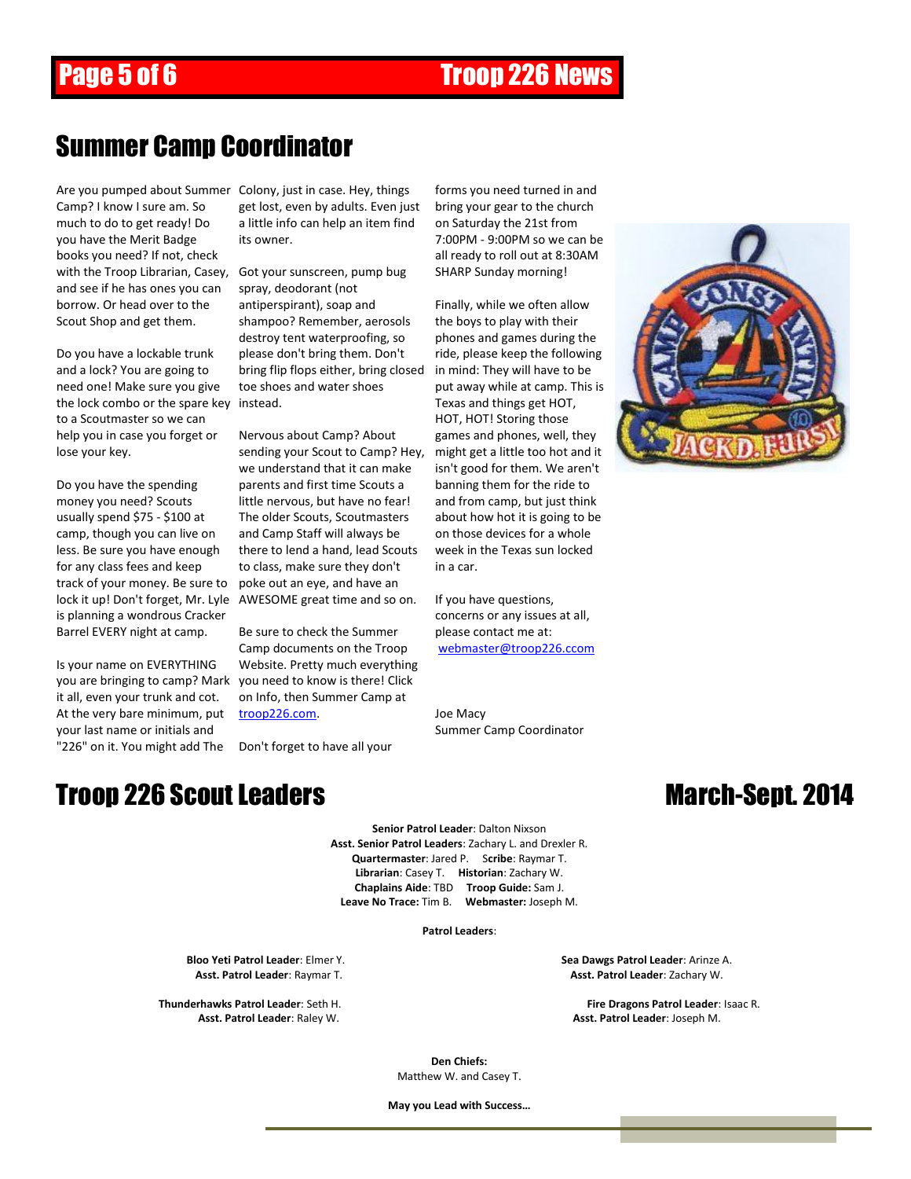# Page 5 of 6 Troop 226 News

#### Summer Camp Coordinator

Camp? I know I sure am. So much to do to get ready! Do you have the Merit Badge books you need? If not, check with the Troop Librarian, Casey, Got your sunscreen, pump bug and see if he has ones you can borrow. Or head over to the Scout Shop and get them.

Do you have a lockable trunk and a lock? You are going to need one! Make sure you give the lock combo or the spare key instead. to a Scoutmaster so we can help you in case you forget or lose your key.

Do you have the spending money you need? Scouts usually spend \$75 - \$100 at camp, though you can live on less. Be sure you have enough for any class fees and keep track of your money. Be sure to is planning a wondrous Cracker Barrel EVERY night at camp.

Is your name on EVERYTHING it all, even your trunk and cot. At the very bare minimum, put your last name or initials and "226" on it. You might add The Don't forget to have all your

Are you pumped about Summer Colony, just in case. Hey, things get lost, even by adults. Even just a little info can help an item find its owner.

> spray, deodorant (not antiperspirant), soap and shampoo? Remember, aerosols destroy tent waterproofing, so please don't bring them. Don't bring flip flops either, bring closed toe shoes and water shoes

lock it up! Don't forget, Mr. Lyle AWESOME great time and so on. Nervous about Camp? About sending your Scout to Camp? Hey, we understand that it can make parents and first time Scouts a little nervous, but have no fear! The older Scouts, Scoutmasters and Camp Staff will always be there to lend a hand, lead Scouts to class, make sure they don't poke out an eye, and have an

you are bringing to camp? Mark you need to know is there! Click Be sure to check the Summer Camp documents on the Troop Website. Pretty much everything on Info, then Summer Camp at [troop226.com.](http://troop226.com/)

#### **Troop 226 Scout Leaders March-Sept. 2014**

forms you need turned in and bring your gear to the church on Saturday the 21st from 7:00PM - 9:00PM so we can be all ready to roll out at 8:30AM SHARP Sunday morning!

Finally, while we often allow the boys to play with their phones and games during the ride, please keep the following in mind: They will have to be put away while at camp. This is Texas and things get HOT, HOT, HOT! Storing those games and phones, well, they might get a little too hot and it isn't good for them. We aren't banning them for the ride to and from camp, but just think about how hot it is going to be on those devices for a whole week in the Texas sun locked in a car.

If you have questions, concerns or any issues at all, please contact me at: [webmaster@troop226.ccom](mailto:webmaster@troop226.ccom)

Joe Macy Summer Camp Coordinator



**Senior Patrol Leader**: Dalton Nixson **Asst. Senior Patrol Leaders**: Zachary L. and Drexler R. **Quartermaster**: Jared P. S**cribe**: Raymar T. **Librarian**: Casey T. **Historian**: Zachary W. **Chaplains Aide**: TBD **Troop Guide:** Sam J. **Leave No Trace:** Tim B. **Webmaster:** Joseph M.

#### **Patrol Leaders**:

**Bloo Yeti Patrol Leader**: Elmer Y.<br>**Asst. Patrol Leader**: Raymar T. **Sea Dawgs Patrol Leader**: Arinze A.<br>**Asst. Patrol Leader**: Zachary W.

**Asst. Patrol Leader: Zachary W.** 

**Thunderhawks Patrol Leader**: Seth H. **Fire Dragons Patrol Leader**: Isaac R. **Asst. Patrol Leader**: Raley W. **Asst. Patrol Leader**: Joseph M.

> **Den Chiefs:** Matthew W. and Casey T.

**May you Lead with Success…**